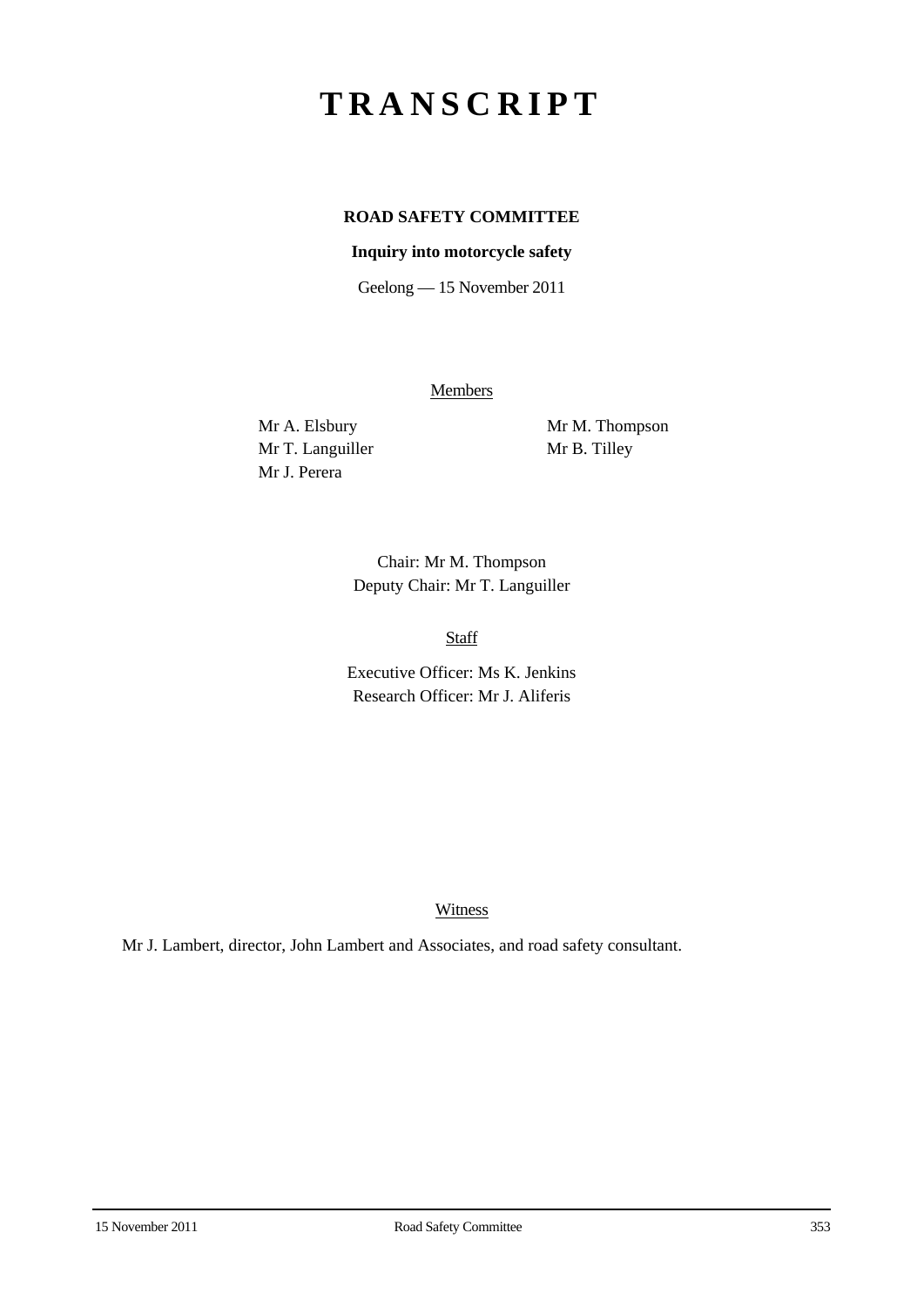# **TRANSCRIPT**

# **ROAD SAFETY COMMITTEE**

## **Inquiry into motorcycle safety**

Geelong — 15 November 2011

**Members** 

Mr T. Languiller Mr B. Tilley Mr J. Perera

Mr A. Elsbury Mr M. Thompson

Chair: Mr M. Thompson Deputy Chair: Mr T. Languiller

Staff

Executive Officer: Ms K. Jenkins Research Officer: Mr J. Aliferis

Witness

Mr J. Lambert, director, John Lambert and Associates, and road safety consultant.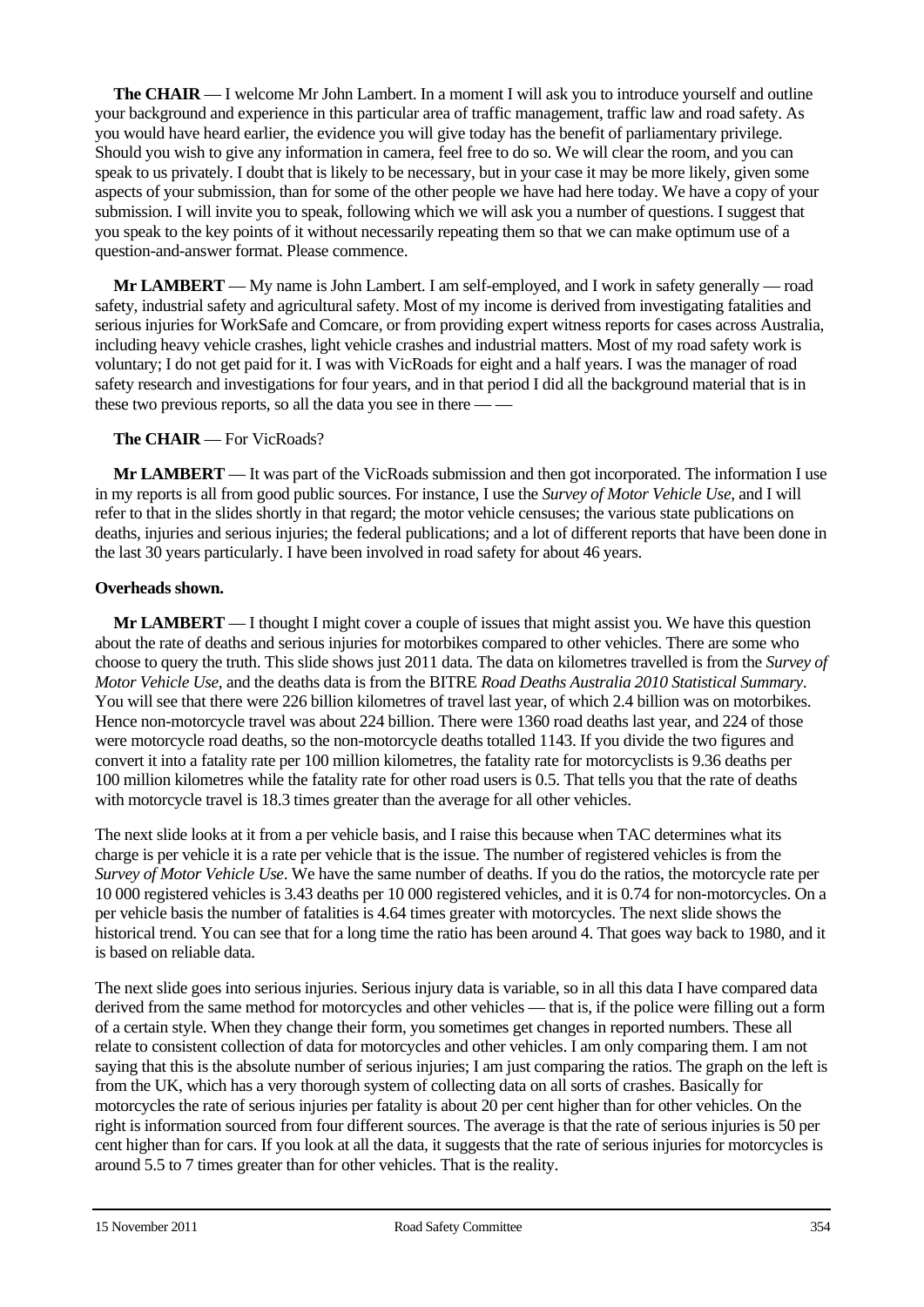**The CHAIR** — I welcome Mr John Lambert. In a moment I will ask you to introduce yourself and outline your background and experience in this particular area of traffic management, traffic law and road safety. As you would have heard earlier, the evidence you will give today has the benefit of parliamentary privilege. Should you wish to give any information in camera, feel free to do so. We will clear the room, and you can speak to us privately. I doubt that is likely to be necessary, but in your case it may be more likely, given some aspects of your submission, than for some of the other people we have had here today. We have a copy of your submission. I will invite you to speak, following which we will ask you a number of questions. I suggest that you speak to the key points of it without necessarily repeating them so that we can make optimum use of a question-and-answer format. Please commence.

**Mr LAMBERT** — My name is John Lambert. I am self-employed, and I work in safety generally — road safety, industrial safety and agricultural safety. Most of my income is derived from investigating fatalities and serious injuries for WorkSafe and Comcare, or from providing expert witness reports for cases across Australia, including heavy vehicle crashes, light vehicle crashes and industrial matters. Most of my road safety work is voluntary; I do not get paid for it. I was with VicRoads for eight and a half years. I was the manager of road safety research and investigations for four years, and in that period I did all the background material that is in these two previous reports, so all the data you see in there — —

## **The CHAIR** — For VicRoads?

**Mr LAMBERT** — It was part of the VicRoads submission and then got incorporated. The information I use in my reports is all from good public sources. For instance, I use the *Survey of Motor Vehicle Use*, and I will refer to that in the slides shortly in that regard; the motor vehicle censuses; the various state publications on deaths, injuries and serious injuries; the federal publications; and a lot of different reports that have been done in the last 30 years particularly. I have been involved in road safety for about 46 years.

## **Overheads shown.**

**Mr LAMBERT** — I thought I might cover a couple of issues that might assist you. We have this question about the rate of deaths and serious injuries for motorbikes compared to other vehicles. There are some who choose to query the truth. This slide shows just 2011 data. The data on kilometres travelled is from the *Survey of Motor Vehicle Use*, and the deaths data is from the BITRE *Road Deaths Australia 2010 Statistical Summary*. You will see that there were 226 billion kilometres of travel last year, of which 2.4 billion was on motorbikes. Hence non-motorcycle travel was about 224 billion. There were 1360 road deaths last year, and 224 of those were motorcycle road deaths, so the non-motorcycle deaths totalled 1143. If you divide the two figures and convert it into a fatality rate per 100 million kilometres, the fatality rate for motorcyclists is 9.36 deaths per 100 million kilometres while the fatality rate for other road users is 0.5. That tells you that the rate of deaths with motorcycle travel is 18.3 times greater than the average for all other vehicles.

The next slide looks at it from a per vehicle basis, and I raise this because when TAC determines what its charge is per vehicle it is a rate per vehicle that is the issue. The number of registered vehicles is from the *Survey of Motor Vehicle Use*. We have the same number of deaths. If you do the ratios, the motorcycle rate per 10 000 registered vehicles is 3.43 deaths per 10 000 registered vehicles, and it is 0.74 for non-motorcycles. On a per vehicle basis the number of fatalities is 4.64 times greater with motorcycles. The next slide shows the historical trend. You can see that for a long time the ratio has been around 4. That goes way back to 1980, and it is based on reliable data.

The next slide goes into serious injuries. Serious injury data is variable, so in all this data I have compared data derived from the same method for motorcycles and other vehicles — that is, if the police were filling out a form of a certain style. When they change their form, you sometimes get changes in reported numbers. These all relate to consistent collection of data for motorcycles and other vehicles. I am only comparing them. I am not saying that this is the absolute number of serious injuries; I am just comparing the ratios. The graph on the left is from the UK, which has a very thorough system of collecting data on all sorts of crashes. Basically for motorcycles the rate of serious injuries per fatality is about 20 per cent higher than for other vehicles. On the right is information sourced from four different sources. The average is that the rate of serious injuries is 50 per cent higher than for cars. If you look at all the data, it suggests that the rate of serious injuries for motorcycles is around 5.5 to 7 times greater than for other vehicles. That is the reality.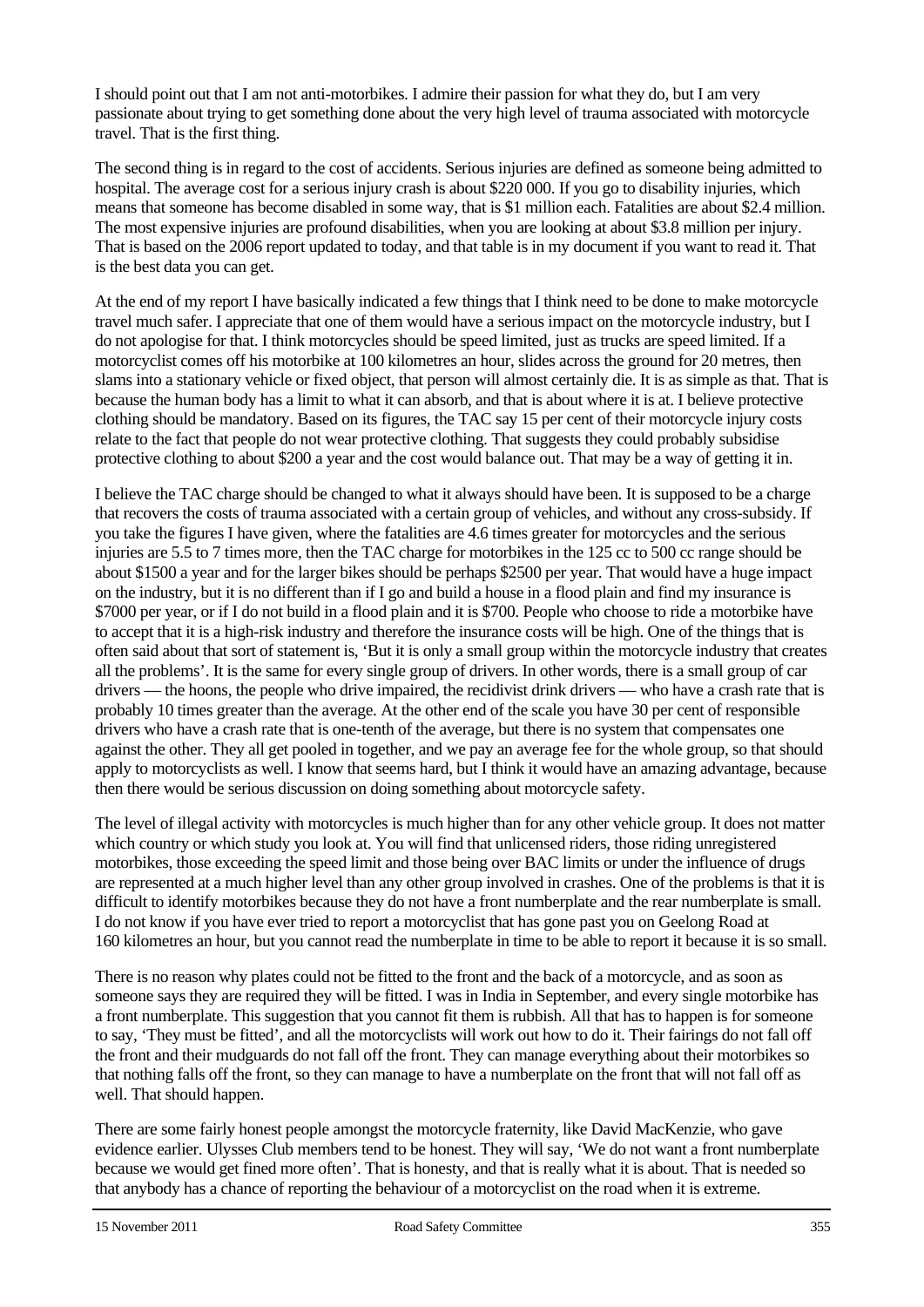I should point out that I am not anti-motorbikes. I admire their passion for what they do, but I am very passionate about trying to get something done about the very high level of trauma associated with motorcycle travel. That is the first thing.

The second thing is in regard to the cost of accidents. Serious injuries are defined as someone being admitted to hospital. The average cost for a serious injury crash is about \$220 000. If you go to disability injuries, which means that someone has become disabled in some way, that is \$1 million each. Fatalities are about \$2.4 million. The most expensive injuries are profound disabilities, when you are looking at about \$3.8 million per injury. That is based on the 2006 report updated to today, and that table is in my document if you want to read it. That is the best data you can get.

At the end of my report I have basically indicated a few things that I think need to be done to make motorcycle travel much safer. I appreciate that one of them would have a serious impact on the motorcycle industry, but I do not apologise for that. I think motorcycles should be speed limited, just as trucks are speed limited. If a motorcyclist comes off his motorbike at 100 kilometres an hour, slides across the ground for 20 metres, then slams into a stationary vehicle or fixed object, that person will almost certainly die. It is as simple as that. That is because the human body has a limit to what it can absorb, and that is about where it is at. I believe protective clothing should be mandatory. Based on its figures, the TAC say 15 per cent of their motorcycle injury costs relate to the fact that people do not wear protective clothing. That suggests they could probably subsidise protective clothing to about \$200 a year and the cost would balance out. That may be a way of getting it in.

I believe the TAC charge should be changed to what it always should have been. It is supposed to be a charge that recovers the costs of trauma associated with a certain group of vehicles, and without any cross-subsidy. If you take the figures I have given, where the fatalities are 4.6 times greater for motorcycles and the serious injuries are 5.5 to 7 times more, then the TAC charge for motorbikes in the 125 cc to 500 cc range should be about \$1500 a year and for the larger bikes should be perhaps \$2500 per year. That would have a huge impact on the industry, but it is no different than if I go and build a house in a flood plain and find my insurance is \$7000 per year, or if I do not build in a flood plain and it is \$700. People who choose to ride a motorbike have to accept that it is a high-risk industry and therefore the insurance costs will be high. One of the things that is often said about that sort of statement is, 'But it is only a small group within the motorcycle industry that creates all the problems'. It is the same for every single group of drivers. In other words, there is a small group of car drivers — the hoons, the people who drive impaired, the recidivist drink drivers — who have a crash rate that is probably 10 times greater than the average. At the other end of the scale you have 30 per cent of responsible drivers who have a crash rate that is one-tenth of the average, but there is no system that compensates one against the other. They all get pooled in together, and we pay an average fee for the whole group, so that should apply to motorcyclists as well. I know that seems hard, but I think it would have an amazing advantage, because then there would be serious discussion on doing something about motorcycle safety.

The level of illegal activity with motorcycles is much higher than for any other vehicle group. It does not matter which country or which study you look at. You will find that unlicensed riders, those riding unregistered motorbikes, those exceeding the speed limit and those being over BAC limits or under the influence of drugs are represented at a much higher level than any other group involved in crashes. One of the problems is that it is difficult to identify motorbikes because they do not have a front numberplate and the rear numberplate is small. I do not know if you have ever tried to report a motorcyclist that has gone past you on Geelong Road at 160 kilometres an hour, but you cannot read the numberplate in time to be able to report it because it is so small.

There is no reason why plates could not be fitted to the front and the back of a motorcycle, and as soon as someone says they are required they will be fitted. I was in India in September, and every single motorbike has a front numberplate. This suggestion that you cannot fit them is rubbish. All that has to happen is for someone to say, 'They must be fitted', and all the motorcyclists will work out how to do it. Their fairings do not fall off the front and their mudguards do not fall off the front. They can manage everything about their motorbikes so that nothing falls off the front, so they can manage to have a numberplate on the front that will not fall off as well. That should happen.

There are some fairly honest people amongst the motorcycle fraternity, like David MacKenzie, who gave evidence earlier. Ulysses Club members tend to be honest. They will say, 'We do not want a front numberplate because we would get fined more often'. That is honesty, and that is really what it is about. That is needed so that anybody has a chance of reporting the behaviour of a motorcyclist on the road when it is extreme.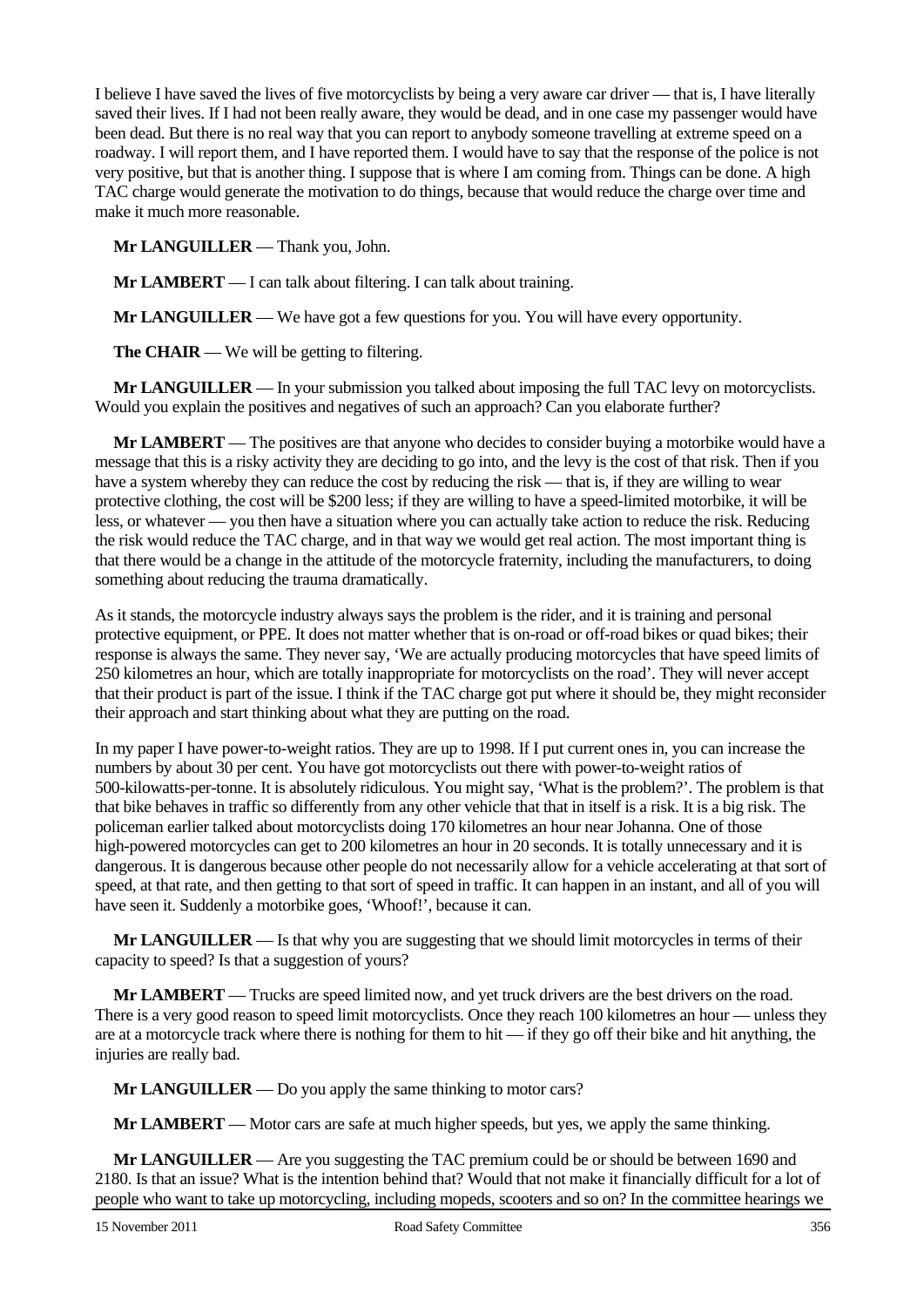I believe I have saved the lives of five motorcyclists by being a very aware car driver — that is, I have literally saved their lives. If I had not been really aware, they would be dead, and in one case my passenger would have been dead. But there is no real way that you can report to anybody someone travelling at extreme speed on a roadway. I will report them, and I have reported them. I would have to say that the response of the police is not very positive, but that is another thing. I suppose that is where I am coming from. Things can be done. A high TAC charge would generate the motivation to do things, because that would reduce the charge over time and make it much more reasonable.

**Mr LANGUILLER** — Thank you, John.

**Mr LAMBERT** — I can talk about filtering. I can talk about training.

**Mr LANGUILLER** — We have got a few questions for you. You will have every opportunity.

**The CHAIR** — We will be getting to filtering.

**Mr LANGUILLER** — In your submission you talked about imposing the full TAC levy on motorcyclists. Would you explain the positives and negatives of such an approach? Can you elaborate further?

**Mr LAMBERT** — The positives are that anyone who decides to consider buying a motorbike would have a message that this is a risky activity they are deciding to go into, and the levy is the cost of that risk. Then if you have a system whereby they can reduce the cost by reducing the risk — that is, if they are willing to wear protective clothing, the cost will be \$200 less; if they are willing to have a speed-limited motorbike, it will be less, or whatever — you then have a situation where you can actually take action to reduce the risk. Reducing the risk would reduce the TAC charge, and in that way we would get real action. The most important thing is that there would be a change in the attitude of the motorcycle fraternity, including the manufacturers, to doing something about reducing the trauma dramatically.

As it stands, the motorcycle industry always says the problem is the rider, and it is training and personal protective equipment, or PPE. It does not matter whether that is on-road or off-road bikes or quad bikes; their response is always the same. They never say, 'We are actually producing motorcycles that have speed limits of 250 kilometres an hour, which are totally inappropriate for motorcyclists on the road'. They will never accept that their product is part of the issue. I think if the TAC charge got put where it should be, they might reconsider their approach and start thinking about what they are putting on the road.

In my paper I have power-to-weight ratios. They are up to 1998. If I put current ones in, you can increase the numbers by about 30 per cent. You have got motorcyclists out there with power-to-weight ratios of 500-kilowatts-per-tonne. It is absolutely ridiculous. You might say, 'What is the problem?'. The problem is that that bike behaves in traffic so differently from any other vehicle that that in itself is a risk. It is a big risk. The policeman earlier talked about motorcyclists doing 170 kilometres an hour near Johanna. One of those high-powered motorcycles can get to 200 kilometres an hour in 20 seconds. It is totally unnecessary and it is dangerous. It is dangerous because other people do not necessarily allow for a vehicle accelerating at that sort of speed, at that rate, and then getting to that sort of speed in traffic. It can happen in an instant, and all of you will have seen it. Suddenly a motorbike goes, 'Whoof!', because it can.

**Mr LANGUILLER** — Is that why you are suggesting that we should limit motorcycles in terms of their capacity to speed? Is that a suggestion of yours?

**Mr LAMBERT** — Trucks are speed limited now, and yet truck drivers are the best drivers on the road. There is a very good reason to speed limit motorcyclists. Once they reach 100 kilometres an hour — unless they are at a motorcycle track where there is nothing for them to hit — if they go off their bike and hit anything, the injuries are really bad.

**Mr LANGUILLER** — Do you apply the same thinking to motor cars?

**Mr LAMBERT** — Motor cars are safe at much higher speeds, but yes, we apply the same thinking.

**Mr LANGUILLER** — Are you suggesting the TAC premium could be or should be between 1690 and 2180. Is that an issue? What is the intention behind that? Would that not make it financially difficult for a lot of people who want to take up motorcycling, including mopeds, scooters and so on? In the committee hearings we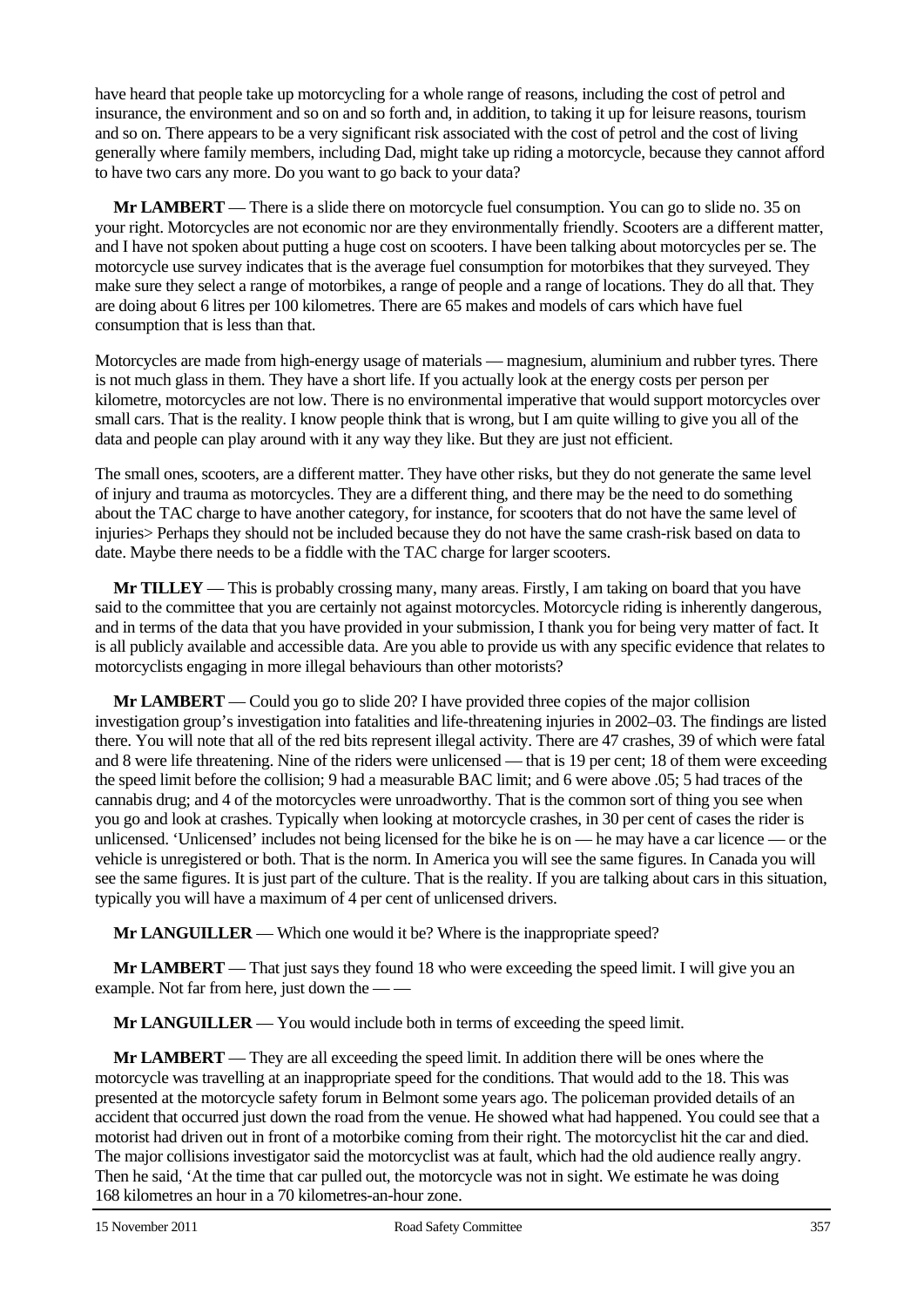have heard that people take up motorcycling for a whole range of reasons, including the cost of petrol and insurance, the environment and so on and so forth and, in addition, to taking it up for leisure reasons, tourism and so on. There appears to be a very significant risk associated with the cost of petrol and the cost of living generally where family members, including Dad, might take up riding a motorcycle, because they cannot afford to have two cars any more. Do you want to go back to your data?

**Mr LAMBERT** — There is a slide there on motorcycle fuel consumption. You can go to slide no. 35 on your right. Motorcycles are not economic nor are they environmentally friendly. Scooters are a different matter, and I have not spoken about putting a huge cost on scooters. I have been talking about motorcycles per se. The motorcycle use survey indicates that is the average fuel consumption for motorbikes that they surveyed. They make sure they select a range of motorbikes, a range of people and a range of locations. They do all that. They are doing about 6 litres per 100 kilometres. There are 65 makes and models of cars which have fuel consumption that is less than that.

Motorcycles are made from high-energy usage of materials — magnesium, aluminium and rubber tyres. There is not much glass in them. They have a short life. If you actually look at the energy costs per person per kilometre, motorcycles are not low. There is no environmental imperative that would support motorcycles over small cars. That is the reality. I know people think that is wrong, but I am quite willing to give you all of the data and people can play around with it any way they like. But they are just not efficient.

The small ones, scooters, are a different matter. They have other risks, but they do not generate the same level of injury and trauma as motorcycles. They are a different thing, and there may be the need to do something about the TAC charge to have another category, for instance, for scooters that do not have the same level of injuries> Perhaps they should not be included because they do not have the same crash-risk based on data to date. Maybe there needs to be a fiddle with the TAC charge for larger scooters.

**Mr TILLEY** — This is probably crossing many, many areas. Firstly, I am taking on board that you have said to the committee that you are certainly not against motorcycles. Motorcycle riding is inherently dangerous, and in terms of the data that you have provided in your submission, I thank you for being very matter of fact. It is all publicly available and accessible data. Are you able to provide us with any specific evidence that relates to motorcyclists engaging in more illegal behaviours than other motorists?

**Mr LAMBERT** — Could you go to slide 20? I have provided three copies of the major collision investigation group's investigation into fatalities and life-threatening injuries in 2002–03. The findings are listed there. You will note that all of the red bits represent illegal activity. There are 47 crashes, 39 of which were fatal and 8 were life threatening. Nine of the riders were unlicensed — that is 19 per cent; 18 of them were exceeding the speed limit before the collision; 9 had a measurable BAC limit; and 6 were above .05; 5 had traces of the cannabis drug; and 4 of the motorcycles were unroadworthy. That is the common sort of thing you see when you go and look at crashes. Typically when looking at motorcycle crashes, in 30 per cent of cases the rider is unlicensed. 'Unlicensed' includes not being licensed for the bike he is on — he may have a car licence — or the vehicle is unregistered or both. That is the norm. In America you will see the same figures. In Canada you will see the same figures. It is just part of the culture. That is the reality. If you are talking about cars in this situation, typically you will have a maximum of 4 per cent of unlicensed drivers.

**Mr LANGUILLER** — Which one would it be? Where is the inappropriate speed?

**Mr LAMBERT** — That just says they found 18 who were exceeding the speed limit. I will give you an example. Not far from here, just down the -

**Mr LANGUILLER** — You would include both in terms of exceeding the speed limit.

**Mr LAMBERT** — They are all exceeding the speed limit. In addition there will be ones where the motorcycle was travelling at an inappropriate speed for the conditions. That would add to the 18. This was presented at the motorcycle safety forum in Belmont some years ago. The policeman provided details of an accident that occurred just down the road from the venue. He showed what had happened. You could see that a motorist had driven out in front of a motorbike coming from their right. The motorcyclist hit the car and died. The major collisions investigator said the motorcyclist was at fault, which had the old audience really angry. Then he said, 'At the time that car pulled out, the motorcycle was not in sight. We estimate he was doing 168 kilometres an hour in a 70 kilometres-an-hour zone.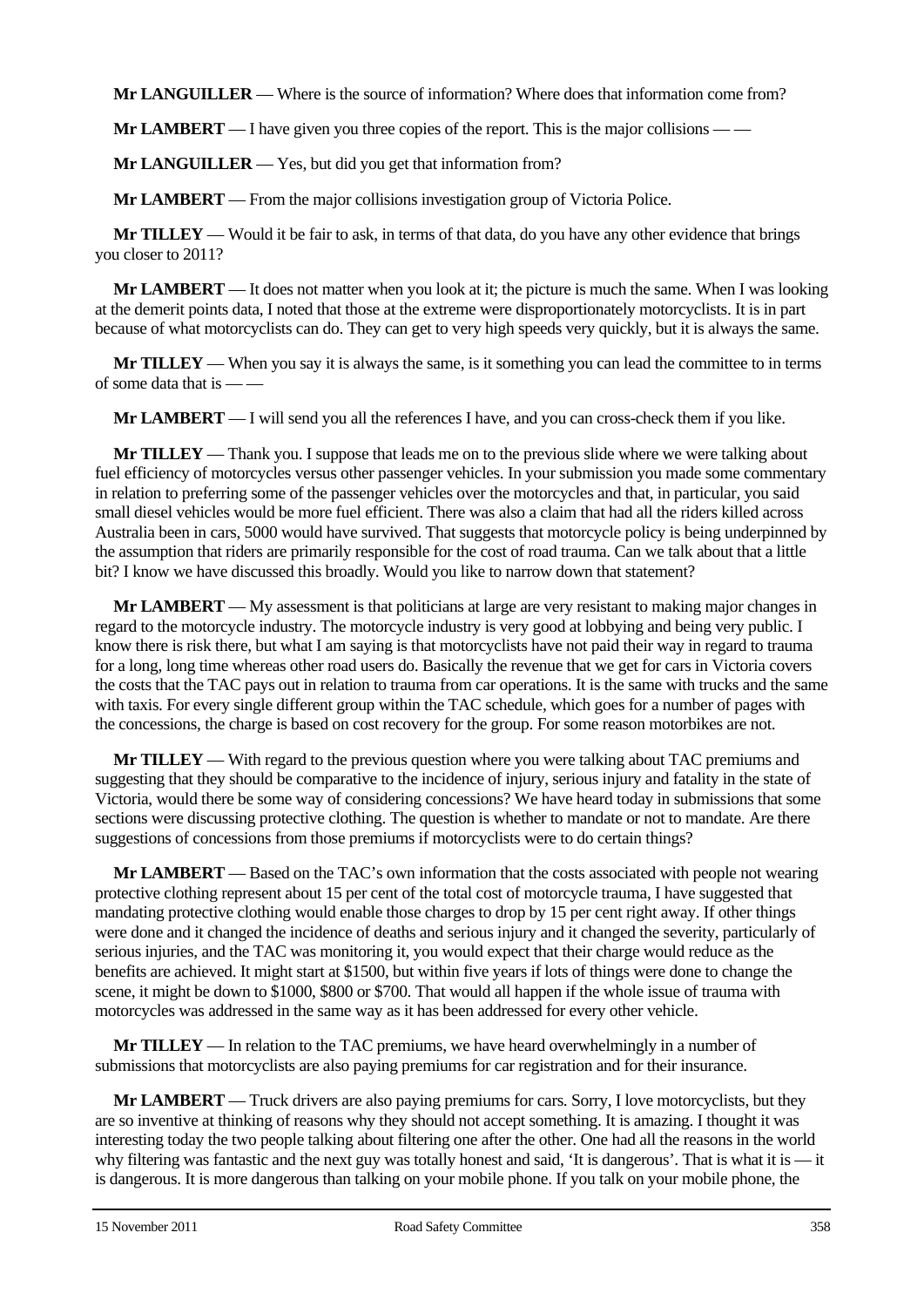**Mr LANGUILLER** — Where is the source of information? Where does that information come from?

**Mr LAMBERT** — I have given you three copies of the report. This is the major collisions — —

**Mr LANGUILLER** — Yes, but did you get that information from?

**Mr LAMBERT** — From the major collisions investigation group of Victoria Police.

**Mr TILLEY** — Would it be fair to ask, in terms of that data, do you have any other evidence that brings you closer to 2011?

**Mr LAMBERT** — It does not matter when you look at it; the picture is much the same. When I was looking at the demerit points data, I noted that those at the extreme were disproportionately motorcyclists. It is in part because of what motorcyclists can do. They can get to very high speeds very quickly, but it is always the same.

**Mr TILLEY** — When you say it is always the same, is it something you can lead the committee to in terms of some data that is — —

**Mr LAMBERT** — I will send you all the references I have, and you can cross-check them if you like.

**Mr TILLEY** — Thank you. I suppose that leads me on to the previous slide where we were talking about fuel efficiency of motorcycles versus other passenger vehicles. In your submission you made some commentary in relation to preferring some of the passenger vehicles over the motorcycles and that, in particular, you said small diesel vehicles would be more fuel efficient. There was also a claim that had all the riders killed across Australia been in cars, 5000 would have survived. That suggests that motorcycle policy is being underpinned by the assumption that riders are primarily responsible for the cost of road trauma. Can we talk about that a little bit? I know we have discussed this broadly. Would you like to narrow down that statement?

**Mr LAMBERT** — My assessment is that politicians at large are very resistant to making major changes in regard to the motorcycle industry. The motorcycle industry is very good at lobbying and being very public. I know there is risk there, but what I am saying is that motorcyclists have not paid their way in regard to trauma for a long, long time whereas other road users do. Basically the revenue that we get for cars in Victoria covers the costs that the TAC pays out in relation to trauma from car operations. It is the same with trucks and the same with taxis. For every single different group within the TAC schedule, which goes for a number of pages with the concessions, the charge is based on cost recovery for the group. For some reason motorbikes are not.

**Mr TILLEY** — With regard to the previous question where you were talking about TAC premiums and suggesting that they should be comparative to the incidence of injury, serious injury and fatality in the state of Victoria, would there be some way of considering concessions? We have heard today in submissions that some sections were discussing protective clothing. The question is whether to mandate or not to mandate. Are there suggestions of concessions from those premiums if motorcyclists were to do certain things?

**Mr LAMBERT** — Based on the TAC's own information that the costs associated with people not wearing protective clothing represent about 15 per cent of the total cost of motorcycle trauma, I have suggested that mandating protective clothing would enable those charges to drop by 15 per cent right away. If other things were done and it changed the incidence of deaths and serious injury and it changed the severity, particularly of serious injuries, and the TAC was monitoring it, you would expect that their charge would reduce as the benefits are achieved. It might start at \$1500, but within five years if lots of things were done to change the scene, it might be down to \$1000, \$800 or \$700. That would all happen if the whole issue of trauma with motorcycles was addressed in the same way as it has been addressed for every other vehicle.

**Mr TILLEY** — In relation to the TAC premiums, we have heard overwhelmingly in a number of submissions that motorcyclists are also paying premiums for car registration and for their insurance.

**Mr LAMBERT** — Truck drivers are also paying premiums for cars. Sorry, I love motorcyclists, but they are so inventive at thinking of reasons why they should not accept something. It is amazing. I thought it was interesting today the two people talking about filtering one after the other. One had all the reasons in the world why filtering was fantastic and the next guy was totally honest and said, 'It is dangerous'. That is what it is — it is dangerous. It is more dangerous than talking on your mobile phone. If you talk on your mobile phone, the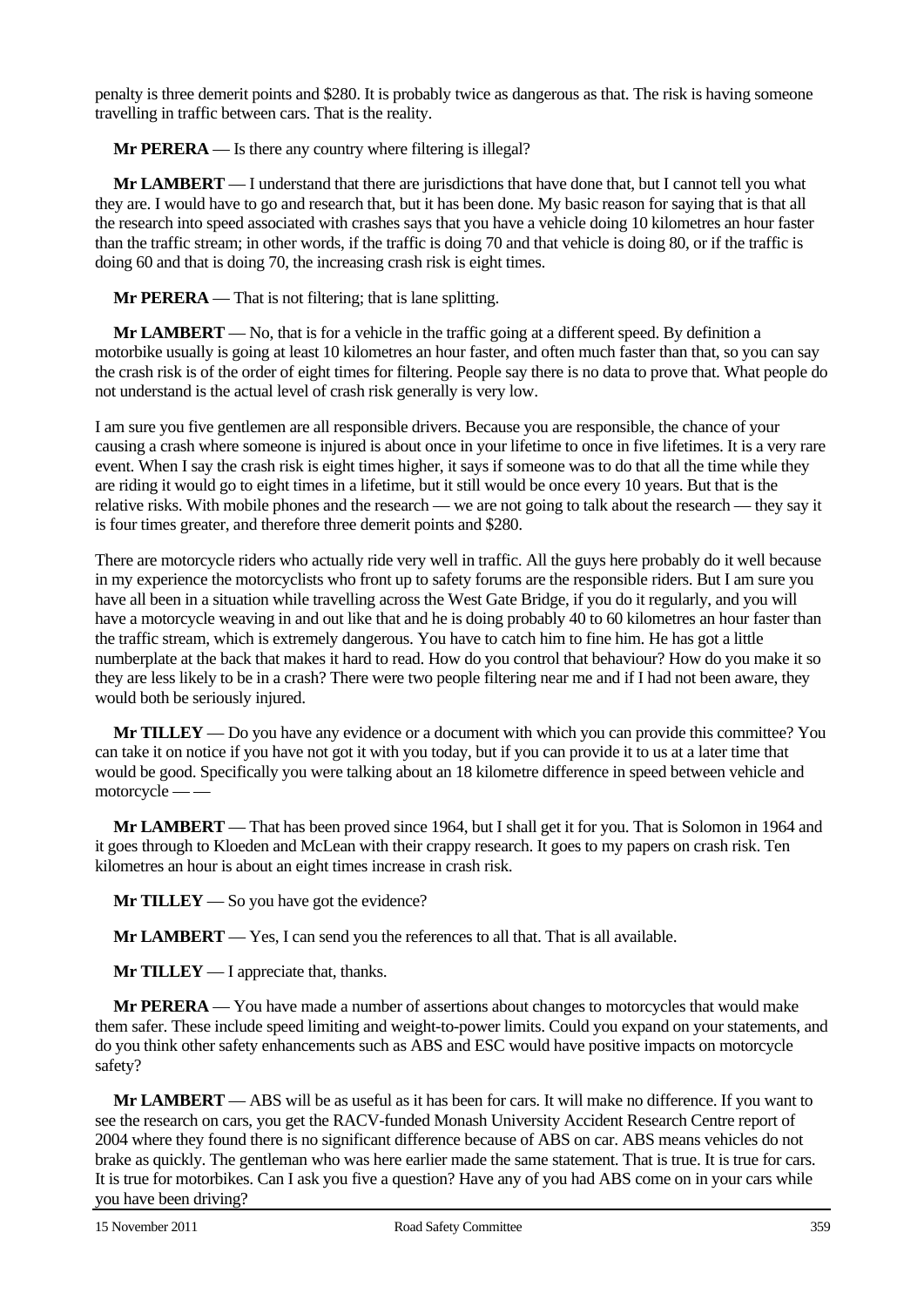penalty is three demerit points and \$280. It is probably twice as dangerous as that. The risk is having someone travelling in traffic between cars. That is the reality.

**Mr PERERA** — Is there any country where filtering is illegal?

**Mr LAMBERT** — I understand that there are jurisdictions that have done that, but I cannot tell you what they are. I would have to go and research that, but it has been done. My basic reason for saying that is that all the research into speed associated with crashes says that you have a vehicle doing 10 kilometres an hour faster than the traffic stream; in other words, if the traffic is doing 70 and that vehicle is doing 80, or if the traffic is doing 60 and that is doing 70, the increasing crash risk is eight times.

**Mr PERERA** — That is not filtering; that is lane splitting.

**Mr LAMBERT** — No, that is for a vehicle in the traffic going at a different speed. By definition a motorbike usually is going at least 10 kilometres an hour faster, and often much faster than that, so you can say the crash risk is of the order of eight times for filtering. People say there is no data to prove that. What people do not understand is the actual level of crash risk generally is very low.

I am sure you five gentlemen are all responsible drivers. Because you are responsible, the chance of your causing a crash where someone is injured is about once in your lifetime to once in five lifetimes. It is a very rare event. When I say the crash risk is eight times higher, it says if someone was to do that all the time while they are riding it would go to eight times in a lifetime, but it still would be once every 10 years. But that is the relative risks. With mobile phones and the research — we are not going to talk about the research — they say it is four times greater, and therefore three demerit points and \$280.

There are motorcycle riders who actually ride very well in traffic. All the guys here probably do it well because in my experience the motorcyclists who front up to safety forums are the responsible riders. But I am sure you have all been in a situation while travelling across the West Gate Bridge, if you do it regularly, and you will have a motorcycle weaving in and out like that and he is doing probably 40 to 60 kilometres an hour faster than the traffic stream, which is extremely dangerous. You have to catch him to fine him. He has got a little numberplate at the back that makes it hard to read. How do you control that behaviour? How do you make it so they are less likely to be in a crash? There were two people filtering near me and if I had not been aware, they would both be seriously injured.

**Mr TILLEY** — Do you have any evidence or a document with which you can provide this committee? You can take it on notice if you have not got it with you today, but if you can provide it to us at a later time that would be good. Specifically you were talking about an 18 kilometre difference in speed between vehicle and motorcycle — —

**Mr LAMBERT** — That has been proved since 1964, but I shall get it for you. That is Solomon in 1964 and it goes through to Kloeden and McLean with their crappy research. It goes to my papers on crash risk. Ten kilometres an hour is about an eight times increase in crash risk.

**Mr TILLEY** — So you have got the evidence?

**Mr LAMBERT** — Yes, I can send you the references to all that. That is all available.

**Mr TILLEY** — I appreciate that, thanks.

**Mr PERERA** — You have made a number of assertions about changes to motorcycles that would make them safer. These include speed limiting and weight-to-power limits. Could you expand on your statements, and do you think other safety enhancements such as ABS and ESC would have positive impacts on motorcycle safety?

**Mr LAMBERT** — ABS will be as useful as it has been for cars. It will make no difference. If you want to see the research on cars, you get the RACV-funded Monash University Accident Research Centre report of 2004 where they found there is no significant difference because of ABS on car. ABS means vehicles do not brake as quickly. The gentleman who was here earlier made the same statement. That is true. It is true for cars. It is true for motorbikes. Can I ask you five a question? Have any of you had ABS come on in your cars while you have been driving?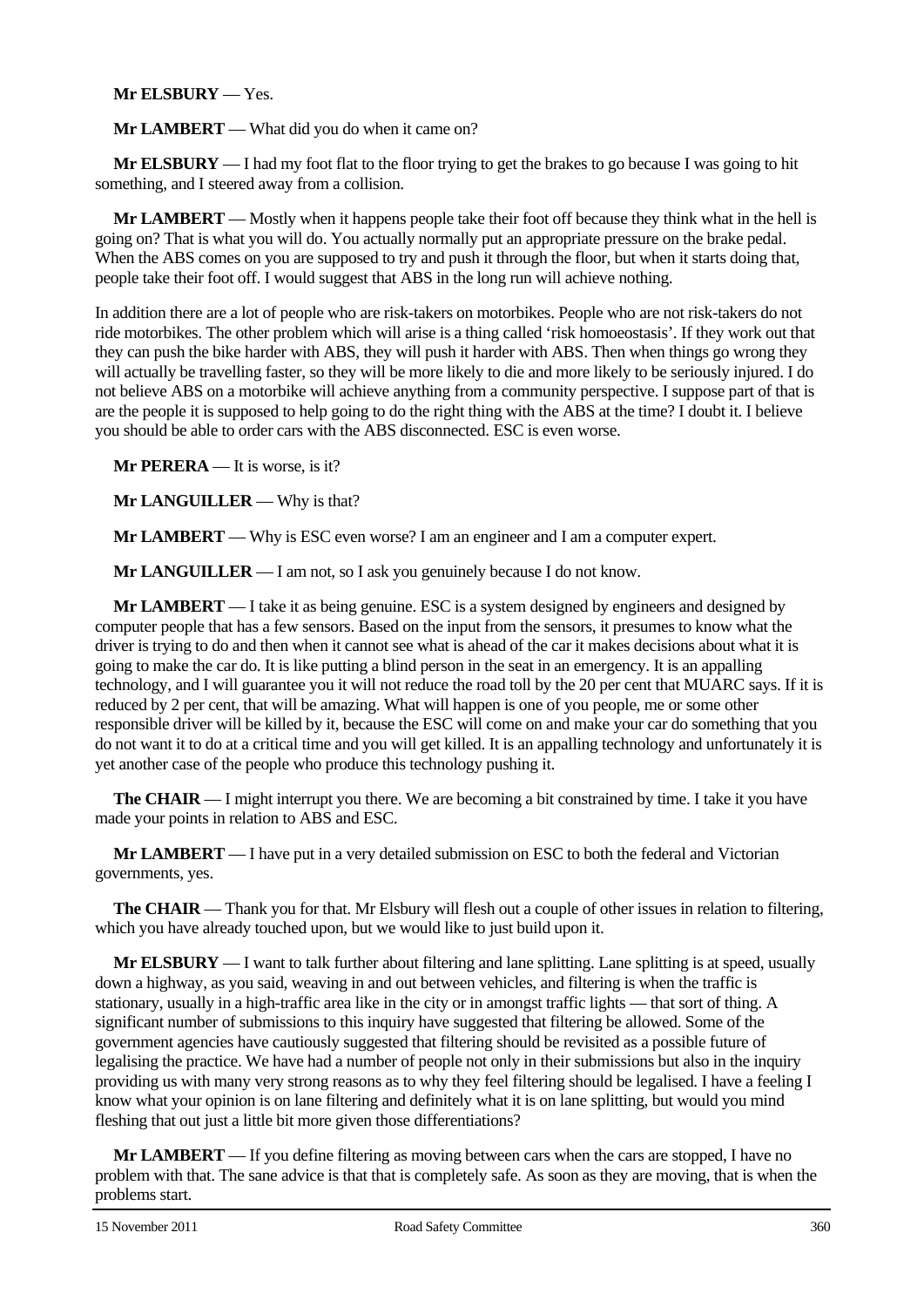## **Mr ELSBURY** — Yes.

**Mr LAMBERT** — What did you do when it came on?

**Mr ELSBURY** — I had my foot flat to the floor trying to get the brakes to go because I was going to hit something, and I steered away from a collision.

**Mr LAMBERT** — Mostly when it happens people take their foot off because they think what in the hell is going on? That is what you will do. You actually normally put an appropriate pressure on the brake pedal. When the ABS comes on you are supposed to try and push it through the floor, but when it starts doing that, people take their foot off. I would suggest that ABS in the long run will achieve nothing.

In addition there are a lot of people who are risk-takers on motorbikes. People who are not risk-takers do not ride motorbikes. The other problem which will arise is a thing called 'risk homoeostasis'. If they work out that they can push the bike harder with ABS, they will push it harder with ABS. Then when things go wrong they will actually be travelling faster, so they will be more likely to die and more likely to be seriously injured. I do not believe ABS on a motorbike will achieve anything from a community perspective. I suppose part of that is are the people it is supposed to help going to do the right thing with the ABS at the time? I doubt it. I believe you should be able to order cars with the ABS disconnected. ESC is even worse.

**Mr PERERA** — It is worse, is it?

**Mr LANGUILLER** — Why is that?

**Mr LAMBERT** — Why is ESC even worse? I am an engineer and I am a computer expert.

**Mr LANGUILLER** — I am not, so I ask you genuinely because I do not know.

**Mr LAMBERT** — I take it as being genuine. ESC is a system designed by engineers and designed by computer people that has a few sensors. Based on the input from the sensors, it presumes to know what the driver is trying to do and then when it cannot see what is ahead of the car it makes decisions about what it is going to make the car do. It is like putting a blind person in the seat in an emergency. It is an appalling technology, and I will guarantee you it will not reduce the road toll by the 20 per cent that MUARC says. If it is reduced by 2 per cent, that will be amazing. What will happen is one of you people, me or some other responsible driver will be killed by it, because the ESC will come on and make your car do something that you do not want it to do at a critical time and you will get killed. It is an appalling technology and unfortunately it is yet another case of the people who produce this technology pushing it.

**The CHAIR** — I might interrupt you there. We are becoming a bit constrained by time. I take it you have made your points in relation to ABS and ESC.

**Mr LAMBERT** — I have put in a very detailed submission on ESC to both the federal and Victorian governments, yes.

**The CHAIR** — Thank you for that. Mr Elsbury will flesh out a couple of other issues in relation to filtering, which you have already touched upon, but we would like to just build upon it.

**Mr ELSBURY** — I want to talk further about filtering and lane splitting. Lane splitting is at speed, usually down a highway, as you said, weaving in and out between vehicles, and filtering is when the traffic is stationary, usually in a high-traffic area like in the city or in amongst traffic lights — that sort of thing. A significant number of submissions to this inquiry have suggested that filtering be allowed. Some of the government agencies have cautiously suggested that filtering should be revisited as a possible future of legalising the practice. We have had a number of people not only in their submissions but also in the inquiry providing us with many very strong reasons as to why they feel filtering should be legalised. I have a feeling I know what your opinion is on lane filtering and definitely what it is on lane splitting, but would you mind fleshing that out just a little bit more given those differentiations?

**Mr LAMBERT** — If you define filtering as moving between cars when the cars are stopped, I have no problem with that. The sane advice is that that is completely safe. As soon as they are moving, that is when the problems start.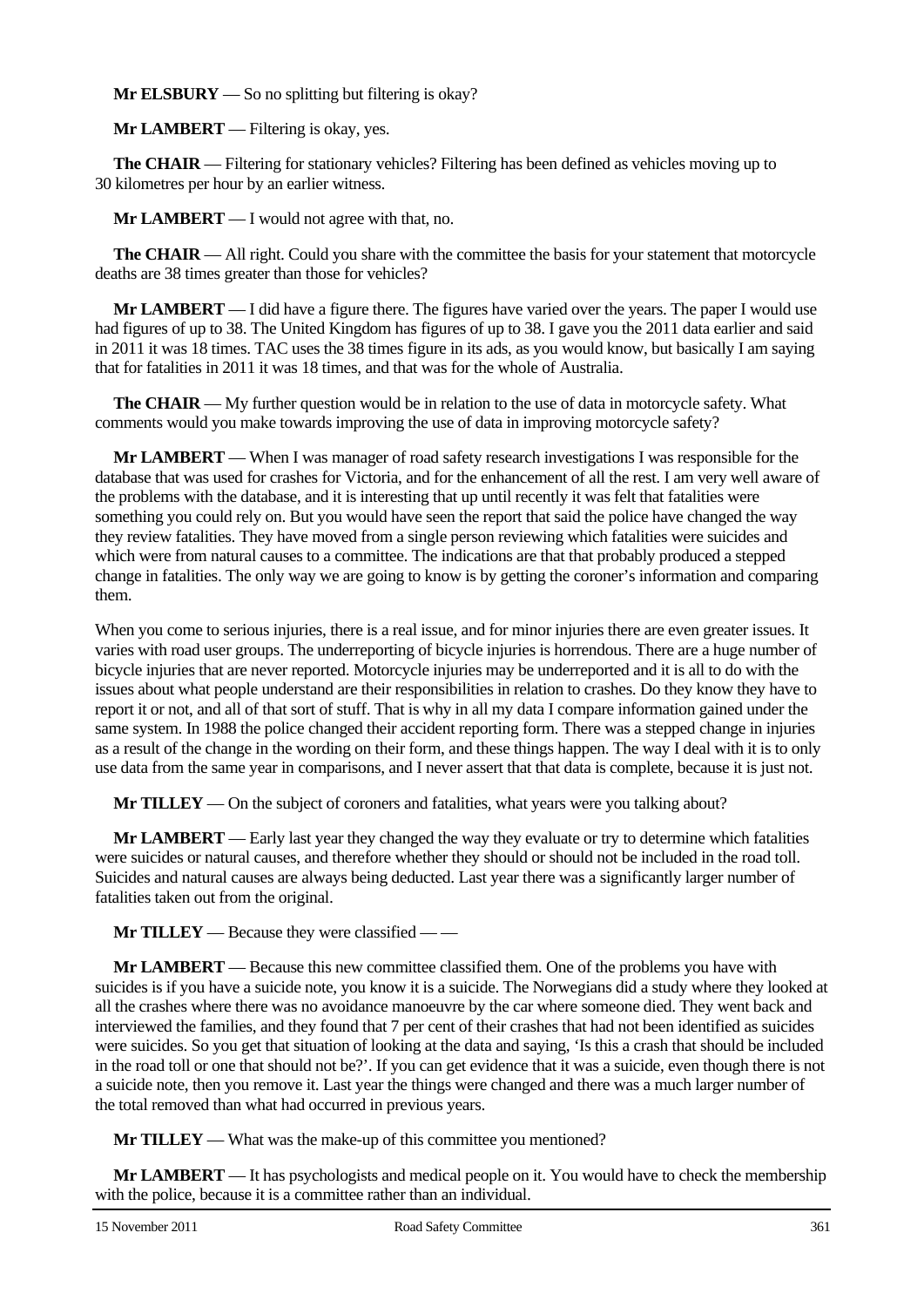**Mr ELSBURY** — So no splitting but filtering is okay?

**Mr LAMBERT** — Filtering is okay, yes.

**The CHAIR** — Filtering for stationary vehicles? Filtering has been defined as vehicles moving up to 30 kilometres per hour by an earlier witness.

**Mr LAMBERT** — I would not agree with that, no.

**The CHAIR** — All right. Could you share with the committee the basis for your statement that motorcycle deaths are 38 times greater than those for vehicles?

**Mr LAMBERT** — I did have a figure there. The figures have varied over the years. The paper I would use had figures of up to 38. The United Kingdom has figures of up to 38. I gave you the 2011 data earlier and said in 2011 it was 18 times. TAC uses the 38 times figure in its ads, as you would know, but basically I am saying that for fatalities in 2011 it was 18 times, and that was for the whole of Australia.

**The CHAIR** — My further question would be in relation to the use of data in motorcycle safety. What comments would you make towards improving the use of data in improving motorcycle safety?

**Mr LAMBERT** — When I was manager of road safety research investigations I was responsible for the database that was used for crashes for Victoria, and for the enhancement of all the rest. I am very well aware of the problems with the database, and it is interesting that up until recently it was felt that fatalities were something you could rely on. But you would have seen the report that said the police have changed the way they review fatalities. They have moved from a single person reviewing which fatalities were suicides and which were from natural causes to a committee. The indications are that that probably produced a stepped change in fatalities. The only way we are going to know is by getting the coroner's information and comparing them.

When you come to serious injuries, there is a real issue, and for minor injuries there are even greater issues. It varies with road user groups. The underreporting of bicycle injuries is horrendous. There are a huge number of bicycle injuries that are never reported. Motorcycle injuries may be underreported and it is all to do with the issues about what people understand are their responsibilities in relation to crashes. Do they know they have to report it or not, and all of that sort of stuff. That is why in all my data I compare information gained under the same system. In 1988 the police changed their accident reporting form. There was a stepped change in injuries as a result of the change in the wording on their form, and these things happen. The way I deal with it is to only use data from the same year in comparisons, and I never assert that that data is complete, because it is just not.

**Mr TILLEY** — On the subject of coroners and fatalities, what years were you talking about?

**Mr LAMBERT** — Early last year they changed the way they evaluate or try to determine which fatalities were suicides or natural causes, and therefore whether they should or should not be included in the road toll. Suicides and natural causes are always being deducted. Last year there was a significantly larger number of fatalities taken out from the original.

**Mr TILLEY** — Because they were classified — —

**Mr LAMBERT** — Because this new committee classified them. One of the problems you have with suicides is if you have a suicide note, you know it is a suicide. The Norwegians did a study where they looked at all the crashes where there was no avoidance manoeuvre by the car where someone died. They went back and interviewed the families, and they found that 7 per cent of their crashes that had not been identified as suicides were suicides. So you get that situation of looking at the data and saying, 'Is this a crash that should be included in the road toll or one that should not be?'. If you can get evidence that it was a suicide, even though there is not a suicide note, then you remove it. Last year the things were changed and there was a much larger number of the total removed than what had occurred in previous years.

**Mr TILLEY** — What was the make-up of this committee you mentioned?

**Mr LAMBERT** — It has psychologists and medical people on it. You would have to check the membership with the police, because it is a committee rather than an individual.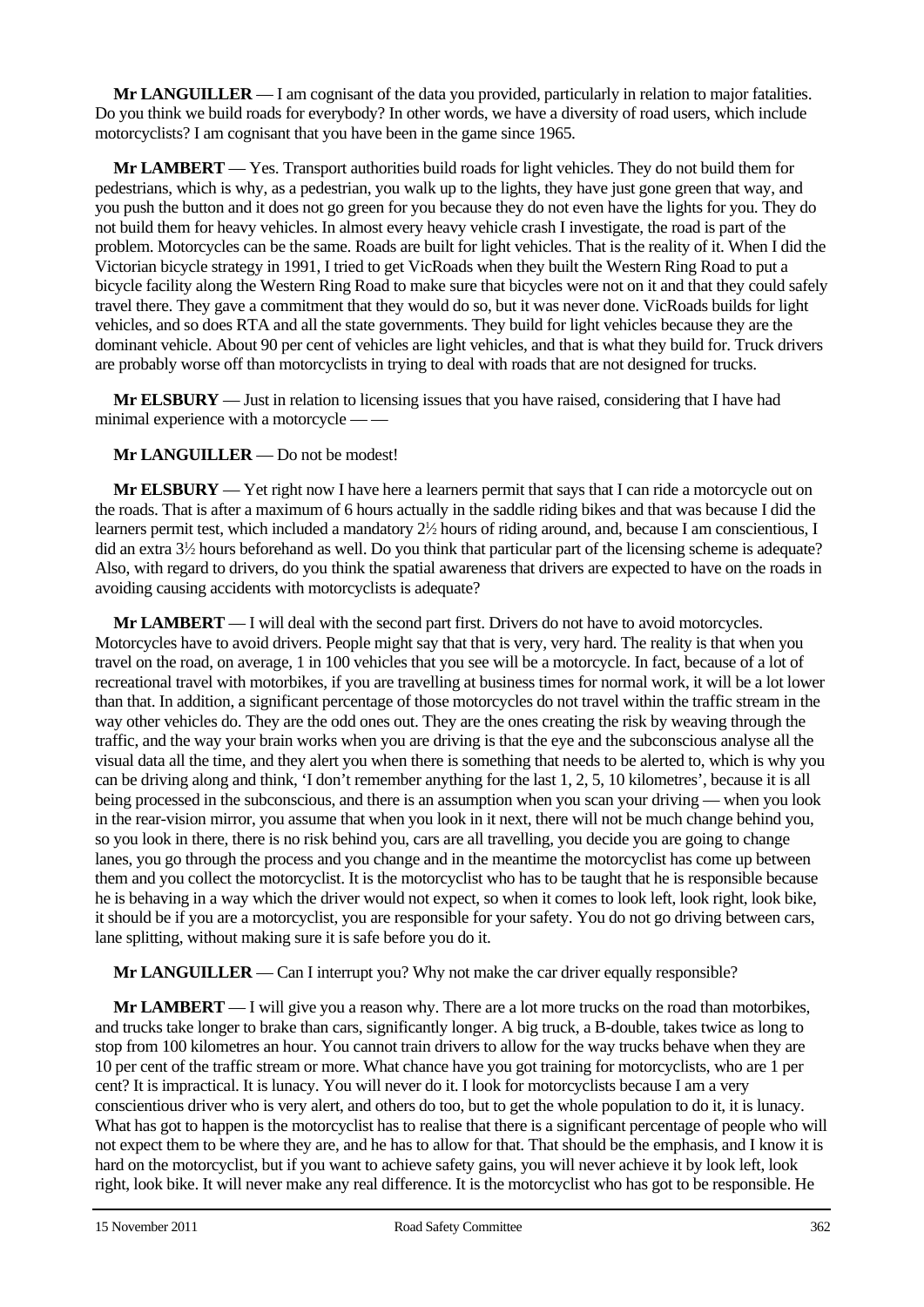**Mr LANGUILLER** — I am cognisant of the data you provided, particularly in relation to major fatalities. Do you think we build roads for everybody? In other words, we have a diversity of road users, which include motorcyclists? I am cognisant that you have been in the game since 1965.

**Mr LAMBERT** — Yes. Transport authorities build roads for light vehicles. They do not build them for pedestrians, which is why, as a pedestrian, you walk up to the lights, they have just gone green that way, and you push the button and it does not go green for you because they do not even have the lights for you. They do not build them for heavy vehicles. In almost every heavy vehicle crash I investigate, the road is part of the problem. Motorcycles can be the same. Roads are built for light vehicles. That is the reality of it. When I did the Victorian bicycle strategy in 1991, I tried to get VicRoads when they built the Western Ring Road to put a bicycle facility along the Western Ring Road to make sure that bicycles were not on it and that they could safely travel there. They gave a commitment that they would do so, but it was never done. VicRoads builds for light vehicles, and so does RTA and all the state governments. They build for light vehicles because they are the dominant vehicle. About 90 per cent of vehicles are light vehicles, and that is what they build for. Truck drivers are probably worse off than motorcyclists in trying to deal with roads that are not designed for trucks.

**Mr ELSBURY** — Just in relation to licensing issues that you have raised, considering that I have had minimal experience with a motorcycle -

**Mr LANGUILLER** — Do not be modest!

**Mr ELSBURY** — Yet right now I have here a learners permit that says that I can ride a motorcycle out on the roads. That is after a maximum of 6 hours actually in the saddle riding bikes and that was because I did the learners permit test, which included a mandatory  $2\frac{1}{2}$  hours of riding around, and, because I am conscientious, I did an extra 31 ⁄2 hours beforehand as well. Do you think that particular part of the licensing scheme is adequate? Also, with regard to drivers, do you think the spatial awareness that drivers are expected to have on the roads in avoiding causing accidents with motorcyclists is adequate?

**Mr LAMBERT** — I will deal with the second part first. Drivers do not have to avoid motorcycles. Motorcycles have to avoid drivers. People might say that that is very, very hard. The reality is that when you travel on the road, on average, 1 in 100 vehicles that you see will be a motorcycle. In fact, because of a lot of recreational travel with motorbikes, if you are travelling at business times for normal work, it will be a lot lower than that. In addition, a significant percentage of those motorcycles do not travel within the traffic stream in the way other vehicles do. They are the odd ones out. They are the ones creating the risk by weaving through the traffic, and the way your brain works when you are driving is that the eye and the subconscious analyse all the visual data all the time, and they alert you when there is something that needs to be alerted to, which is why you can be driving along and think, 'I don't remember anything for the last 1, 2, 5, 10 kilometres', because it is all being processed in the subconscious, and there is an assumption when you scan your driving — when you look in the rear-vision mirror, you assume that when you look in it next, there will not be much change behind you, so you look in there, there is no risk behind you, cars are all travelling, you decide you are going to change lanes, you go through the process and you change and in the meantime the motorcyclist has come up between them and you collect the motorcyclist. It is the motorcyclist who has to be taught that he is responsible because he is behaving in a way which the driver would not expect, so when it comes to look left, look right, look bike, it should be if you are a motorcyclist, you are responsible for your safety. You do not go driving between cars, lane splitting, without making sure it is safe before you do it.

**Mr LANGUILLER** — Can I interrupt you? Why not make the car driver equally responsible?

**Mr LAMBERT** — I will give you a reason why. There are a lot more trucks on the road than motorbikes, and trucks take longer to brake than cars, significantly longer. A big truck, a B-double, takes twice as long to stop from 100 kilometres an hour. You cannot train drivers to allow for the way trucks behave when they are 10 per cent of the traffic stream or more. What chance have you got training for motorcyclists, who are 1 per cent? It is impractical. It is lunacy. You will never do it. I look for motorcyclists because I am a very conscientious driver who is very alert, and others do too, but to get the whole population to do it, it is lunacy. What has got to happen is the motorcyclist has to realise that there is a significant percentage of people who will not expect them to be where they are, and he has to allow for that. That should be the emphasis, and I know it is hard on the motorcyclist, but if you want to achieve safety gains, you will never achieve it by look left, look right, look bike. It will never make any real difference. It is the motorcyclist who has got to be responsible. He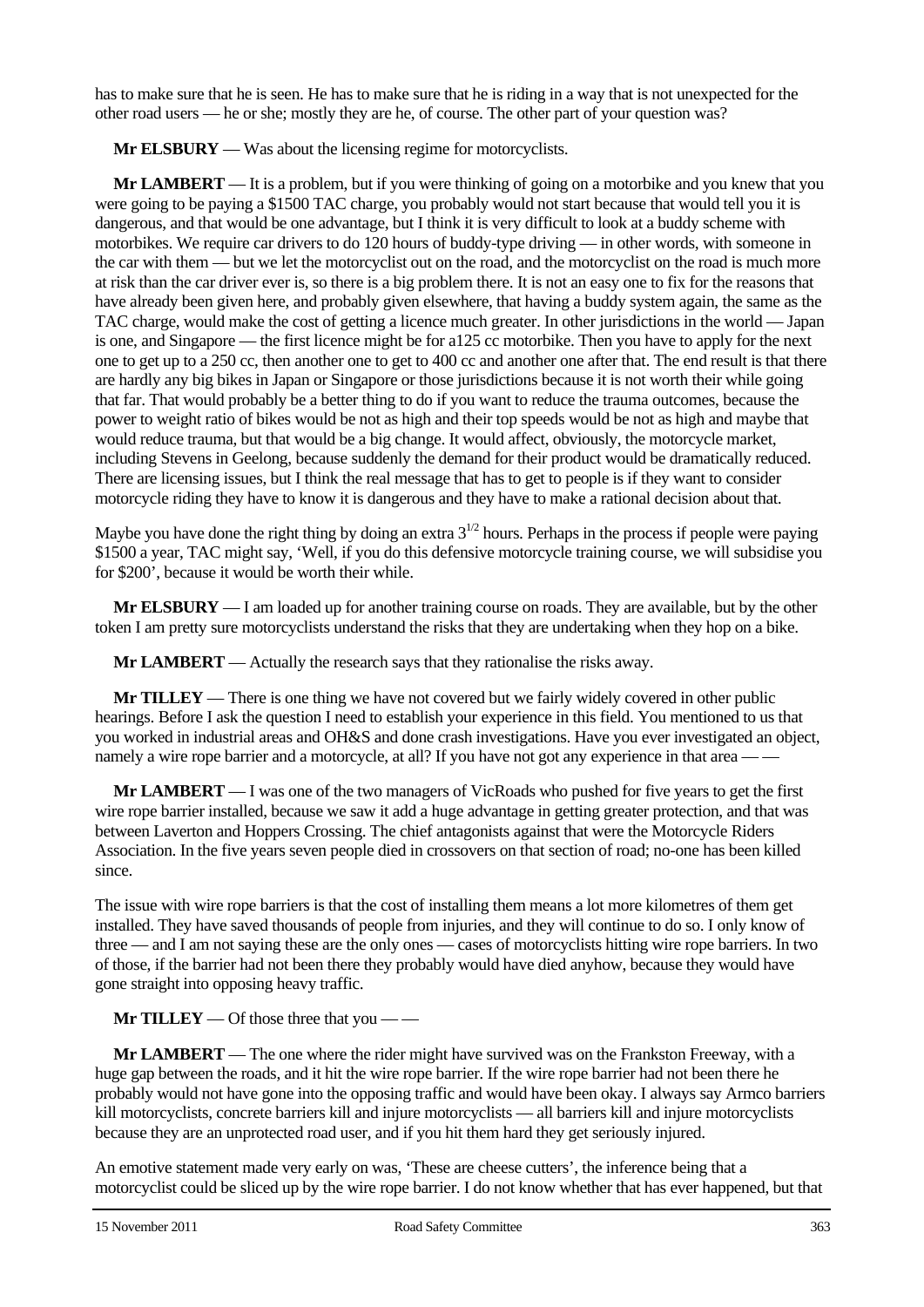has to make sure that he is seen. He has to make sure that he is riding in a way that is not unexpected for the other road users — he or she; mostly they are he, of course. The other part of your question was?

**Mr ELSBURY** — Was about the licensing regime for motorcyclists.

**Mr LAMBERT** — It is a problem, but if you were thinking of going on a motorbike and you knew that you were going to be paying a \$1500 TAC charge, you probably would not start because that would tell you it is dangerous, and that would be one advantage, but I think it is very difficult to look at a buddy scheme with motorbikes. We require car drivers to do 120 hours of buddy-type driving — in other words, with someone in the car with them — but we let the motorcyclist out on the road, and the motorcyclist on the road is much more at risk than the car driver ever is, so there is a big problem there. It is not an easy one to fix for the reasons that have already been given here, and probably given elsewhere, that having a buddy system again, the same as the TAC charge, would make the cost of getting a licence much greater. In other jurisdictions in the world — Japan is one, and Singapore — the first licence might be for a125 cc motorbike. Then you have to apply for the next one to get up to a 250 cc, then another one to get to 400 cc and another one after that. The end result is that there are hardly any big bikes in Japan or Singapore or those jurisdictions because it is not worth their while going that far. That would probably be a better thing to do if you want to reduce the trauma outcomes, because the power to weight ratio of bikes would be not as high and their top speeds would be not as high and maybe that would reduce trauma, but that would be a big change. It would affect, obviously, the motorcycle market, including Stevens in Geelong, because suddenly the demand for their product would be dramatically reduced. There are licensing issues, but I think the real message that has to get to people is if they want to consider motorcycle riding they have to know it is dangerous and they have to make a rational decision about that.

Maybe you have done the right thing by doing an extra  $3^{1/2}$  hours. Perhaps in the process if people were paying \$1500 a year, TAC might say, 'Well, if you do this defensive motorcycle training course, we will subsidise you for \$200', because it would be worth their while.

**Mr ELSBURY** — I am loaded up for another training course on roads. They are available, but by the other token I am pretty sure motorcyclists understand the risks that they are undertaking when they hop on a bike.

**Mr LAMBERT** — Actually the research says that they rationalise the risks away.

**Mr TILLEY** — There is one thing we have not covered but we fairly widely covered in other public hearings. Before I ask the question I need to establish your experience in this field. You mentioned to us that you worked in industrial areas and OH&S and done crash investigations. Have you ever investigated an object, namely a wire rope barrier and a motorcycle, at all? If you have not got any experience in that area — —

**Mr LAMBERT** — I was one of the two managers of VicRoads who pushed for five years to get the first wire rope barrier installed, because we saw it add a huge advantage in getting greater protection, and that was between Laverton and Hoppers Crossing. The chief antagonists against that were the Motorcycle Riders Association. In the five years seven people died in crossovers on that section of road; no-one has been killed since.

The issue with wire rope barriers is that the cost of installing them means a lot more kilometres of them get installed. They have saved thousands of people from injuries, and they will continue to do so. I only know of three — and I am not saying these are the only ones — cases of motorcyclists hitting wire rope barriers. In two of those, if the barrier had not been there they probably would have died anyhow, because they would have gone straight into opposing heavy traffic.

**Mr TILLEY** — Of those three that you — —

**Mr LAMBERT** — The one where the rider might have survived was on the Frankston Freeway, with a huge gap between the roads, and it hit the wire rope barrier. If the wire rope barrier had not been there he probably would not have gone into the opposing traffic and would have been okay. I always say Armco barriers kill motorcyclists, concrete barriers kill and injure motorcyclists — all barriers kill and injure motorcyclists because they are an unprotected road user, and if you hit them hard they get seriously injured.

An emotive statement made very early on was, 'These are cheese cutters', the inference being that a motorcyclist could be sliced up by the wire rope barrier. I do not know whether that has ever happened, but that